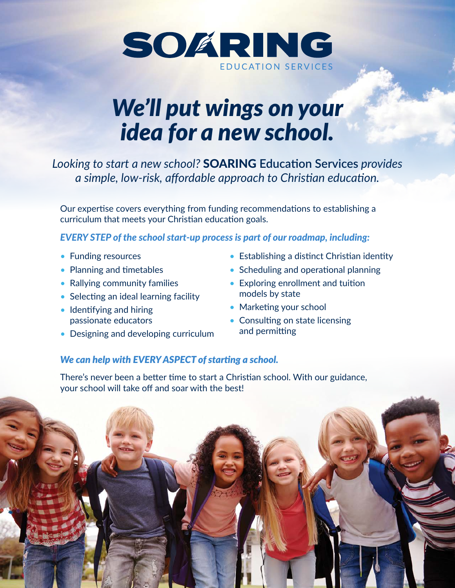

# *We'll put wings on your idea for a new school.*

*Looking to start a new school?* SOARING **Education Services** *provides a simple, low-risk, affordable approach to Christian education.* 

Our expertise covers everything from funding recommendations to establishing a curriculum that meets your Christian education goals.

*EVERY STEP of the school start-up process is part of our roadmap, including:* 

- Funding resources
- Planning and timetables
- Rallying community families
- Selecting an ideal learning facility
- Identifying and hiring passionate educators
- Designing and developing curriculum
- Establishing a distinct Christian identity
- Scheduling and operational planning
- Exploring enrollment and tuition models by state
- Marketing your school
- Consulting on state licensing and permitting

### *We can help with EVERY ASPECT of starting a school.*

There's never been a better time to start a Christian school. With our guidance, your school will take off and soar with the best!